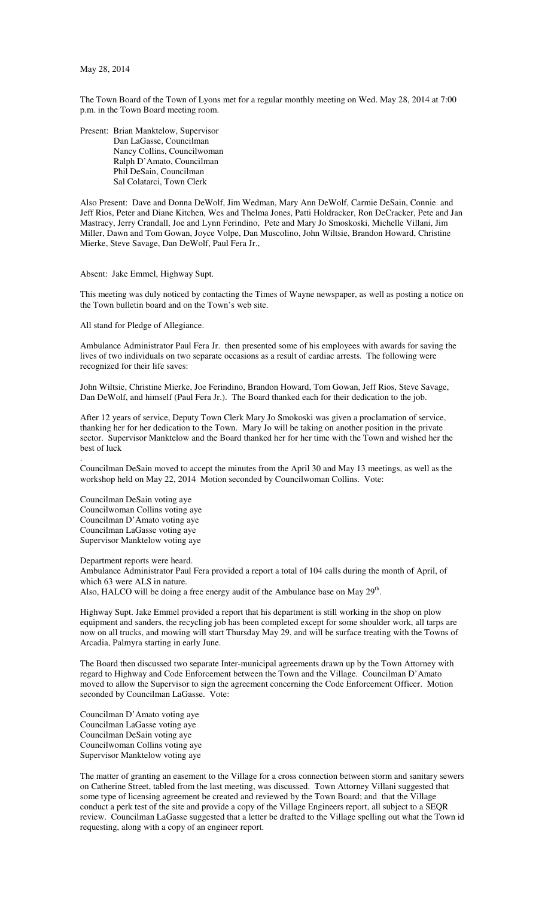The Town Board of the Town of Lyons met for a regular monthly meeting on Wed. May 28, 2014 at 7:00 p.m. in the Town Board meeting room.

Present: Brian Manktelow, Supervisor Dan LaGasse, Councilman Nancy Collins, Councilwoman Ralph D'Amato, Councilman Phil DeSain, Councilman Sal Colatarci, Town Clerk

Also Present: Dave and Donna DeWolf, Jim Wedman, Mary Ann DeWolf, Carmie DeSain, Connie and Jeff Rios, Peter and Diane Kitchen, Wes and Thelma Jones, Patti Holdracker, Ron DeCracker, Pete and Jan Mastracy, Jerry Crandall, Joe and Lynn Ferindino, Pete and Mary Jo Smoskoski, Michelle Villani, Jim Miller, Dawn and Tom Gowan, Joyce Volpe, Dan Muscolino, John Wiltsie, Brandon Howard, Christine Mierke, Steve Savage, Dan DeWolf, Paul Fera Jr.,

Absent: Jake Emmel, Highway Supt.

This meeting was duly noticed by contacting the Times of Wayne newspaper, as well as posting a notice on the Town bulletin board and on the Town's web site.

All stand for Pledge of Allegiance.

Ambulance Administrator Paul Fera Jr. then presented some of his employees with awards for saving the lives of two individuals on two separate occasions as a result of cardiac arrests. The following were recognized for their life saves:

John Wiltsie, Christine Mierke, Joe Ferindino, Brandon Howard, Tom Gowan, Jeff Rios, Steve Savage, Dan DeWolf, and himself (Paul Fera Jr.). The Board thanked each for their dedication to the job.

After 12 years of service, Deputy Town Clerk Mary Jo Smokoski was given a proclamation of service, thanking her for her dedication to the Town. Mary Jo will be taking on another position in the private sector. Supervisor Manktelow and the Board thanked her for her time with the Town and wished her the best of luck

Councilman DeSain moved to accept the minutes from the April 30 and May 13 meetings, as well as the workshop held on May 22, 2014 Motion seconded by Councilwoman Collins. Vote:

Councilman DeSain voting aye Councilwoman Collins voting aye Councilman D'Amato voting aye Councilman LaGasse voting aye Supervisor Manktelow voting aye

.

Department reports were heard. Ambulance Administrator Paul Fera provided a report a total of 104 calls during the month of April, of which 63 were ALS in nature. Also, HALCO will be doing a free energy audit of the Ambulance base on May  $29<sup>th</sup>$ .

Highway Supt. Jake Emmel provided a report that his department is still working in the shop on plow equipment and sanders, the recycling job has been completed except for some shoulder work, all tarps are now on all trucks, and mowing will start Thursday May 29, and will be surface treating with the Towns of Arcadia, Palmyra starting in early June.

The Board then discussed two separate Inter-municipal agreements drawn up by the Town Attorney with regard to Highway and Code Enforcement between the Town and the Village. Councilman D'Amato moved to allow the Supervisor to sign the agreement concerning the Code Enforcement Officer. Motion seconded by Councilman LaGasse. Vote:

Councilman D'Amato voting aye Councilman LaGasse voting aye Councilman DeSain voting aye Councilwoman Collins voting aye Supervisor Manktelow voting aye

The matter of granting an easement to the Village for a cross connection between storm and sanitary sewers on Catherine Street, tabled from the last meeting, was discussed. Town Attorney Villani suggested that some type of licensing agreement be created and reviewed by the Town Board; and that the Village conduct a perk test of the site and provide a copy of the Village Engineers report, all subject to a SEQR review. Councilman LaGasse suggested that a letter be drafted to the Village spelling out what the Town id requesting, along with a copy of an engineer report.